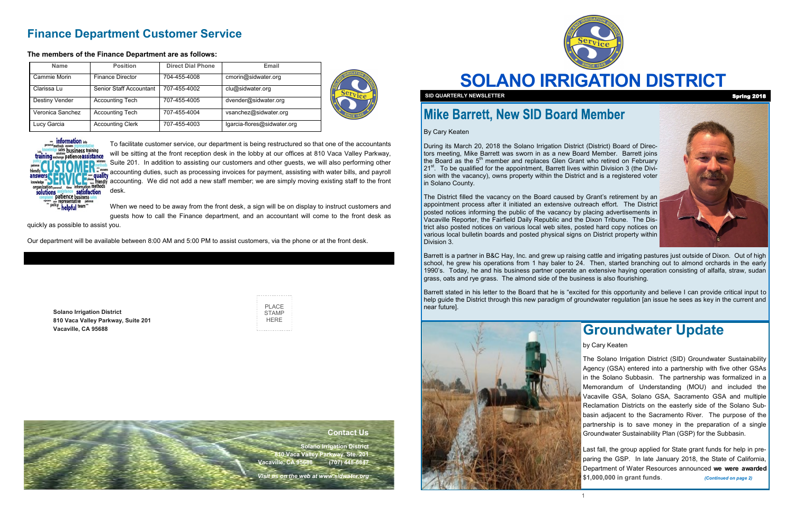# **SOLANO IRRIGATION DISTRICT**



**SID QUARTERLY NEWSLETTER** Spring 2018

### **Mike Barrett, New SID Board Member**

**Solano Irrigation District 810 Vaca Valley Parkway, Suite 201 Vacaville, CA 95688**

| PI ACF |
|--------|
| STAMP  |
|        |
| HFRF   |
|        |

By Cary Keaten

During its March 20, 2018 the Solano Irrigation District (District) Board of Directors meeting, Mike Barrett was sworn in as a new Board Member. Barrett joins the Board as the  $5<sup>th</sup>$  member and replaces Glen Grant who retired on February 21<sup>st</sup>. To be qualified for the appointment, Barrett lives within Division 3 (the Division with the vacancy), owns property within the District and is a registered voter in Solano County.

The District filled the vacancy on the Board caused by Grant's retirement by an appointment process after it initiated an extensive outreach effort. The District posted notices informing the public of the vacancy by placing advertisements in Vacaville Reporter, the Fairfield Daily Republic and the Dixon Tribune. The District also posted notices on various local web sites, posted hard copy notices on various local bulletin boards and posted physical signs on District property within Division 3.

Barrett is a partner in B&C Hay, Inc. and grew up raising cattle and irrigating pastures just outside of Dixon. Out of high school, he grew his operations from 1 hay baler to 24. Then, started branching out to almond orchards in the early 1990's. Today, he and his business partner operate an extensive haying operation consisting of alfalfa, straw, sudan grass, oats and rye grass. The almond side of the business is also flourishing.

Barrett stated in his letter to the Board that he is "excited for this opportunity and believe I can provide critical input to help guide the District through this new paradigm of groundwater regulation [an issue he sees as key in the current and near future].



### **Finance Department Customer Service**

#### **The members of the Finance Department are as follows:**

To facilitate customer service, our department is being restructured so that one of the accountants will be sitting at the front reception desk in the lobby at our offices at 810 Vaca Valley Parkway, Suite 201. In addition to assisting our customers and other guests, we will also performing other accounting duties, such as processing invoices for payment, assisting with water bills, and payroll accounting. We did not add a new staff member; we are simply moving existing staff to the front desk.

When we need to be away from the front desk, a sign will be on display to instruct customers and guests how to call the Finance department, and an accountant will come to the front desk as

quickly as possible to assist you.

Our department will be available between 8:00 AM and 5:00 PM to assist customers, via the phone or at the front desk.

| <b>Name</b>      | <b>Position</b>         | <b>Direct Dial Phone</b> | Email                       | Ser |
|------------------|-------------------------|--------------------------|-----------------------------|-----|
| Cammie Morin     | Finance Director        | 704-455-4008             | cmorin@sidwater.org         |     |
| Clarissa Lu      | Senior Staff Accountant | 707-455-4002             | clu@sidwater.org            |     |
| Destiny Vender   | <b>Accounting Tech</b>  | 707-455-4005             | dvender@sidwater.org        |     |
| Veronica Sanchez | <b>Accounting Tech</b>  | 707-455-4004             | vsanchez@sidwater.org       |     |
| Lucy Garcia      | <b>Accounting Clerk</b> | 707-455-4003             | lgarcia-flores@sidwater.org |     |





### **Contact Us**

**Solano Irrigation District 810 Vaca Valley Parkway, Ste. 201 Vacaville, CA 95688 (707) 448-6847** 

*Visit us on the web at www.sidwater.org*



### **Groundwater Update**

by Cary Keaten

The Solano Irrigation District (SID) Groundwater Sustainability Agency (GSA) entered into a partnership with five other GSAs in the Solano Subbasin. The partnership was formalized in a Memorandum of Understanding (MOU) and included the Vacaville GSA, Solano GSA, Sacramento GSA and multiple Reclamation Districts on the easterly side of the Solano Subbasin adjacent to the Sacramento River. The purpose of the partnership is to save money in the preparation of a single Groundwater Sustainability Plan (GSP) for the Subbasin.

Last fall, the group applied for State grant funds for help in preparing the GSP. In late January 2018, the State of California, Department of Water Resources announced **we were awarded \$1,000,000 in grant funds**. *(Continued on page 2)*